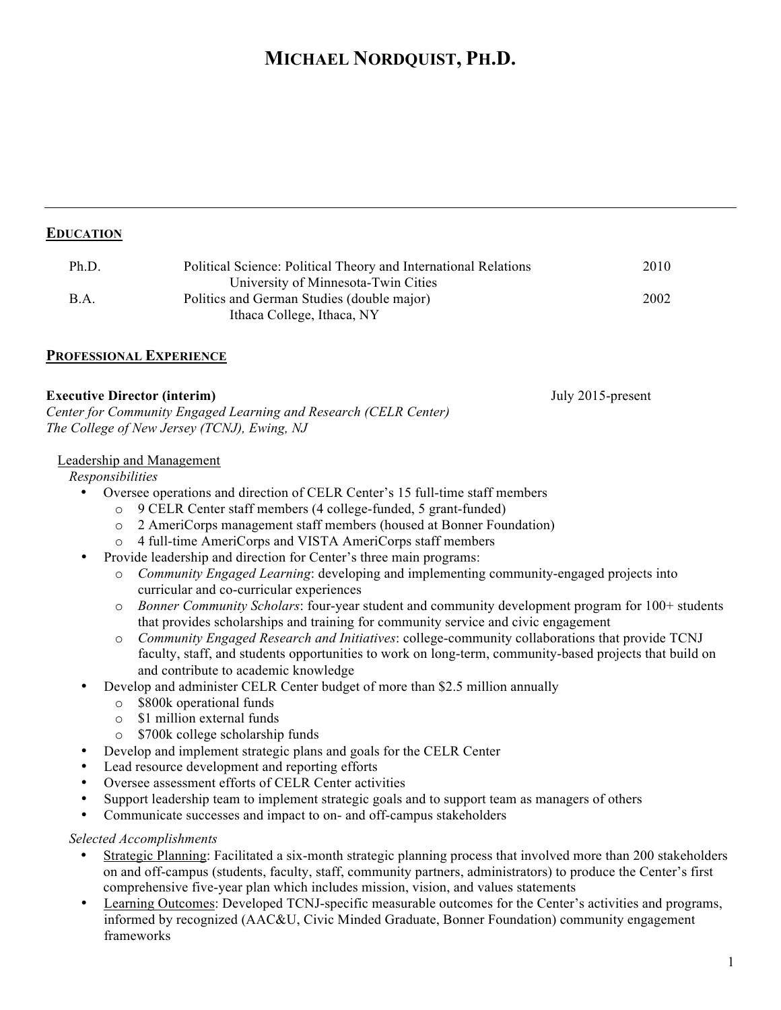# **MICHAEL NORDQUIST, PH.D.**

| Ph.D. | Political Science: Political Theory and International Relations | 2010 |
|-------|-----------------------------------------------------------------|------|
|       | University of Minnesota-Twin Cities                             |      |
| B.A.  | Politics and German Studies (double major)                      | 2002 |
|       | Ithaca College, Ithaca, NY                                      |      |

## **PROFESSIONAL EXPERIENCE**

#### **Executive Director (interim)** July 2015-present

*Center for Community Engaged Learning and Research (CELR Center) The College of New Jersey (TCNJ), Ewing, NJ*

#### Leadership and Management

*Responsibilities*

- Oversee operations and direction of CELR Center's 15 full-time staff members
	- o 9 CELR Center staff members (4 college-funded, 5 grant-funded)
	- o 2 AmeriCorps management staff members (housed at Bonner Foundation)
	- o 4 full-time AmeriCorps and VISTA AmeriCorps staff members
- Provide leadership and direction for Center's three main programs:
	- o *Community Engaged Learning*: developing and implementing community-engaged projects into curricular and co-curricular experiences
	- o *Bonner Community Scholars*: four-year student and community development program for 100+ students that provides scholarships and training for community service and civic engagement
	- o *Community Engaged Research and Initiatives*: college-community collaborations that provide TCNJ faculty, staff, and students opportunities to work on long-term, community-based projects that build on and contribute to academic knowledge
- Develop and administer CELR Center budget of more than \$2.5 million annually
	- o \$800k operational funds
	- o \$1 million external funds
	- o \$700k college scholarship funds
- Develop and implement strategic plans and goals for the CELR Center
- Lead resource development and reporting efforts
- Oversee assessment efforts of CELR Center activities
- Support leadership team to implement strategic goals and to support team as managers of others
- Communicate successes and impact to on- and off-campus stakeholders

#### *Selected Accomplishments*

- Strategic Planning: Facilitated a six-month strategic planning process that involved more than 200 stakeholders on and off-campus (students, faculty, staff, community partners, administrators) to produce the Center's first comprehensive five-year plan which includes mission, vision, and values statements
- Learning Outcomes: Developed TCNJ-specific measurable outcomes for the Center's activities and programs, informed by recognized (AAC&U, Civic Minded Graduate, Bonner Foundation) community engagement frameworks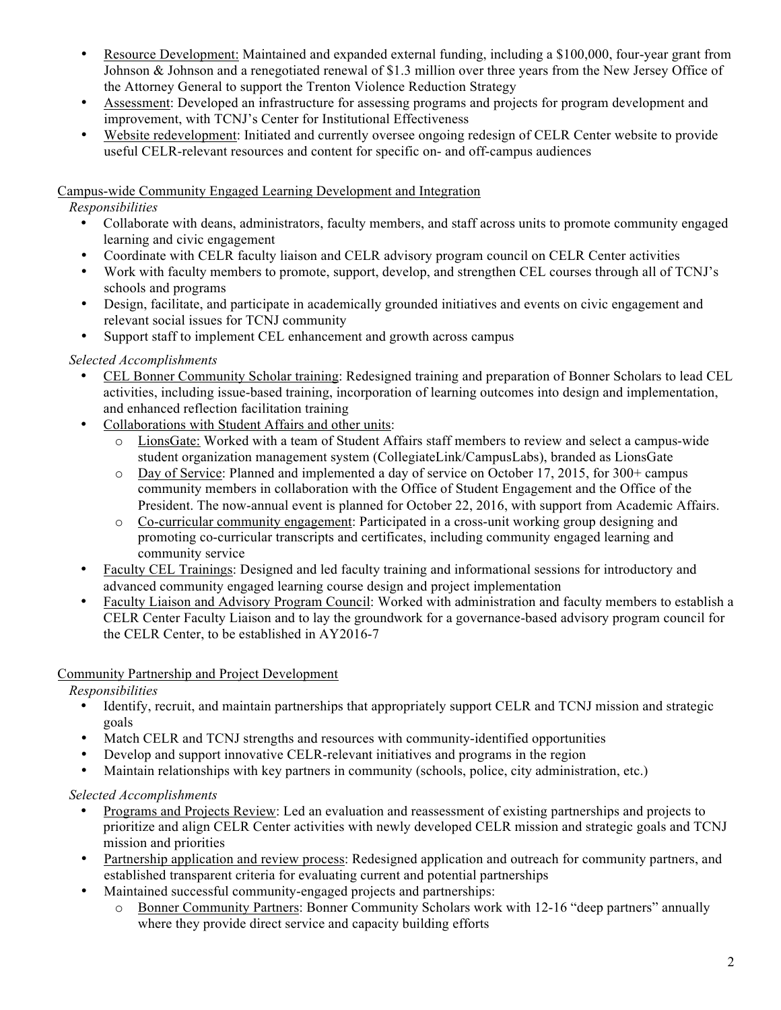- Resource Development: Maintained and expanded external funding, including a \$100,000, four-year grant from Johnson & Johnson and a renegotiated renewal of \$1.3 million over three years from the New Jersey Office of the Attorney General to support the Trenton Violence Reduction Strategy
- Assessment: Developed an infrastructure for assessing programs and projects for program development and improvement, with TCNJ's Center for Institutional Effectiveness
- Website redevelopment: Initiated and currently oversee ongoing redesign of CELR Center website to provide useful CELR-relevant resources and content for specific on- and off-campus audiences

## Campus-wide Community Engaged Learning Development and Integration

*Responsibilities*

- Collaborate with deans, administrators, faculty members, and staff across units to promote community engaged learning and civic engagement
- Coordinate with CELR faculty liaison and CELR advisory program council on CELR Center activities
- Work with faculty members to promote, support, develop, and strengthen CEL courses through all of TCNJ's schools and programs
- Design, facilitate, and participate in academically grounded initiatives and events on civic engagement and relevant social issues for TCNJ community
- Support staff to implement CEL enhancement and growth across campus

## *Selected Accomplishments*

- CEL Bonner Community Scholar training: Redesigned training and preparation of Bonner Scholars to lead CEL activities, including issue-based training, incorporation of learning outcomes into design and implementation, and enhanced reflection facilitation training
- Collaborations with Student Affairs and other units:
	- LionsGate: Worked with a team of Student Affairs staff members to review and select a campus-wide student organization management system (CollegiateLink/CampusLabs), branded as LionsGate
	- o Day of Service: Planned and implemented a day of service on October 17, 2015, for 300+ campus community members in collaboration with the Office of Student Engagement and the Office of the President. The now-annual event is planned for October 22, 2016, with support from Academic Affairs.
	- o Co-curricular community engagement: Participated in a cross-unit working group designing and promoting co-curricular transcripts and certificates, including community engaged learning and community service
- Faculty CEL Trainings: Designed and led faculty training and informational sessions for introductory and advanced community engaged learning course design and project implementation
- Faculty Liaison and Advisory Program Council: Worked with administration and faculty members to establish a CELR Center Faculty Liaison and to lay the groundwork for a governance-based advisory program council for the CELR Center, to be established in AY2016-7

## Community Partnership and Project Development

*Responsibilities*

- Identify, recruit, and maintain partnerships that appropriately support CELR and TCNJ mission and strategic goals
- Match CELR and TCNJ strengths and resources with community-identified opportunities
- Develop and support innovative CELR-relevant initiatives and programs in the region
- Maintain relationships with key partners in community (schools, police, city administration, etc.)

## *Selected Accomplishments*

- Programs and Projects Review: Led an evaluation and reassessment of existing partnerships and projects to prioritize and align CELR Center activities with newly developed CELR mission and strategic goals and TCNJ mission and priorities
- Partnership application and review process: Redesigned application and outreach for community partners, and established transparent criteria for evaluating current and potential partnerships
- Maintained successful community-engaged projects and partnerships:
	- o Bonner Community Partners: Bonner Community Scholars work with 12-16 "deep partners" annually where they provide direct service and capacity building efforts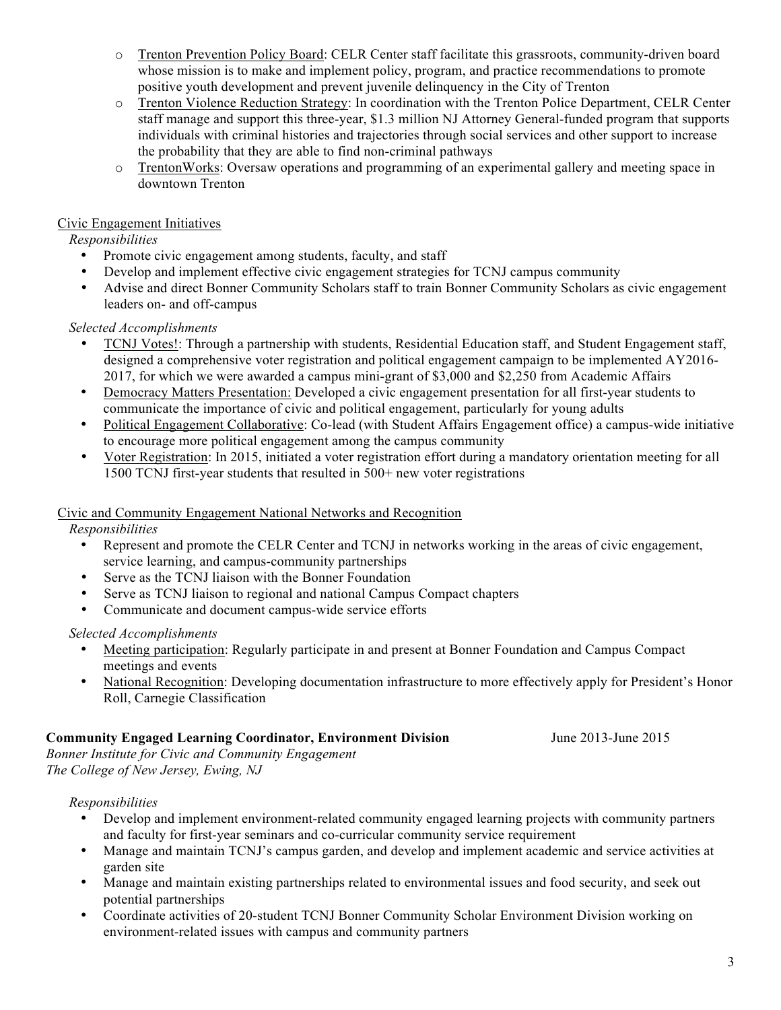- o Trenton Prevention Policy Board: CELR Center staff facilitate this grassroots, community-driven board whose mission is to make and implement policy, program, and practice recommendations to promote positive youth development and prevent juvenile delinquency in the City of Trenton
- o Trenton Violence Reduction Strategy: In coordination with the Trenton Police Department, CELR Center staff manage and support this three-year, \$1.3 million NJ Attorney General-funded program that supports individuals with criminal histories and trajectories through social services and other support to increase the probability that they are able to find non-criminal pathways
- o TrentonWorks: Oversaw operations and programming of an experimental gallery and meeting space in downtown Trenton

## Civic Engagement Initiatives

## *Responsibilities*

- Promote civic engagement among students, faculty, and staff
- Develop and implement effective civic engagement strategies for TCNJ campus community
- Advise and direct Bonner Community Scholars staff to train Bonner Community Scholars as civic engagement leaders on- and off-campus

## *Selected Accomplishments*

- TCNJ Votes!: Through a partnership with students, Residential Education staff, and Student Engagement staff, designed a comprehensive voter registration and political engagement campaign to be implemented AY2016- 2017, for which we were awarded a campus mini-grant of \$3,000 and \$2,250 from Academic Affairs
- Democracy Matters Presentation: Developed a civic engagement presentation for all first-year students to communicate the importance of civic and political engagement, particularly for young adults
- Political Engagement Collaborative: Co-lead (with Student Affairs Engagement office) a campus-wide initiative to encourage more political engagement among the campus community
- Voter Registration: In 2015, initiated a voter registration effort during a mandatory orientation meeting for all 1500 TCNJ first-year students that resulted in 500+ new voter registrations

## Civic and Community Engagement National Networks and Recognition

## *Responsibilities*

- Represent and promote the CELR Center and TCNJ in networks working in the areas of civic engagement, service learning, and campus-community partnerships
- Serve as the TCNJ liaison with the Bonner Foundation
- Serve as TCNJ liaison to regional and national Campus Compact chapters<br>• Communicate and document campus-wide service efforts
- Communicate and document campus-wide service efforts

#### *Selected Accomplishments*

- Meeting participation: Regularly participate in and present at Bonner Foundation and Campus Compact meetings and events
- National Recognition: Developing documentation infrastructure to more effectively apply for President's Honor Roll, Carnegie Classification

## **Community Engaged Learning Coordinator, Environment Division** June 2013-June 2015

*Bonner Institute for Civic and Community Engagement The College of New Jersey, Ewing, NJ*

## *Responsibilities*

- Develop and implement environment-related community engaged learning projects with community partners and faculty for first-year seminars and co-curricular community service requirement
- Manage and maintain TCNJ's campus garden, and develop and implement academic and service activities at garden site
- Manage and maintain existing partnerships related to environmental issues and food security, and seek out potential partnerships
- Coordinate activities of 20-student TCNJ Bonner Community Scholar Environment Division working on environment-related issues with campus and community partners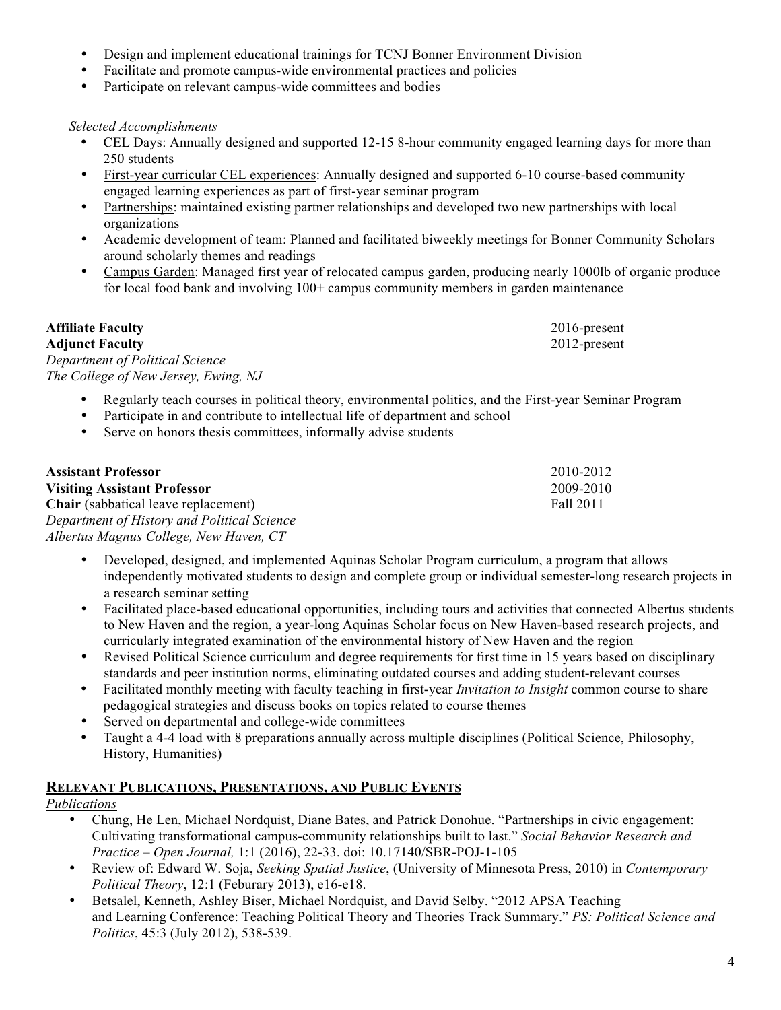- Design and implement educational trainings for TCNJ Bonner Environment Division
- Facilitate and promote campus-wide environmental practices and policies
- Participate on relevant campus-wide committees and bodies

## *Selected Accomplishments*

- CEL Days: Annually designed and supported 12-15 8-hour community engaged learning days for more than 250 students
- First-year curricular CEL experiences: Annually designed and supported 6-10 course-based community engaged learning experiences as part of first-year seminar program
- Partnerships: maintained existing partner relationships and developed two new partnerships with local organizations
- Academic development of team: Planned and facilitated biweekly meetings for Bonner Community Scholars around scholarly themes and readings
- Campus Garden: Managed first year of relocated campus garden, producing nearly 1000lb of organic produce for local food bank and involving 100+ campus community members in garden maintenance

| <b>Affiliate Faculty</b>             | 2016-present |
|--------------------------------------|--------------|
| <b>Adjunct Faculty</b>               | 2012-present |
| Department of Political Science      |              |
| The College of New Jersey, Ewing, NJ |              |

- Regularly teach courses in political theory, environmental politics, and the First-year Seminar Program
- Participate in and contribute to intellectual life of department and school
- Serve on honors thesis committees, informally advise students

| <b>Assistant Professor</b>                  | 2010-2012 |
|---------------------------------------------|-----------|
| <b>Visiting Assistant Professor</b>         | 2009-2010 |
| <b>Chair</b> (sabbatical leave replacement) | Fall 2011 |
| Department of History and Political Science |           |
| Albertus Magnus College, New Haven, CT      |           |

- Developed, designed, and implemented Aquinas Scholar Program curriculum, a program that allows independently motivated students to design and complete group or individual semester-long research projects in a research seminar setting
- Facilitated place-based educational opportunities, including tours and activities that connected Albertus students to New Haven and the region, a year-long Aquinas Scholar focus on New Haven-based research projects, and curricularly integrated examination of the environmental history of New Haven and the region
- Revised Political Science curriculum and degree requirements for first time in 15 years based on disciplinary standards and peer institution norms, eliminating outdated courses and adding student-relevant courses
- Facilitated monthly meeting with faculty teaching in first-year *Invitation to Insight* common course to share pedagogical strategies and discuss books on topics related to course themes
- Served on departmental and college-wide committees
- Taught a 4-4 load with 8 preparations annually across multiple disciplines (Political Science, Philosophy, History, Humanities)

## **RELEVANT PUBLICATIONS, PRESENTATIONS, AND PUBLIC EVENTS**

# *Publications*

- Chung, He Len, Michael Nordquist, Diane Bates, and Patrick Donohue. "Partnerships in civic engagement: Cultivating transformational campus-community relationships built to last." *Social Behavior Research and Practice – Open Journal,* 1:1 (2016), 22-33. doi: 10.17140/SBR-POJ-1-105
- Review of: Edward W. Soja, *Seeking Spatial Justice*, (University of Minnesota Press, 2010) in *Contemporary Political Theory*, 12:1 (Feburary 2013), e16-e18.
- Betsalel, Kenneth, Ashley Biser, Michael Nordquist, and David Selby. "2012 APSA Teaching and Learning Conference: Teaching Political Theory and Theories Track Summary." *PS: Political Science and Politics*, 45:3 (July 2012), 538-539.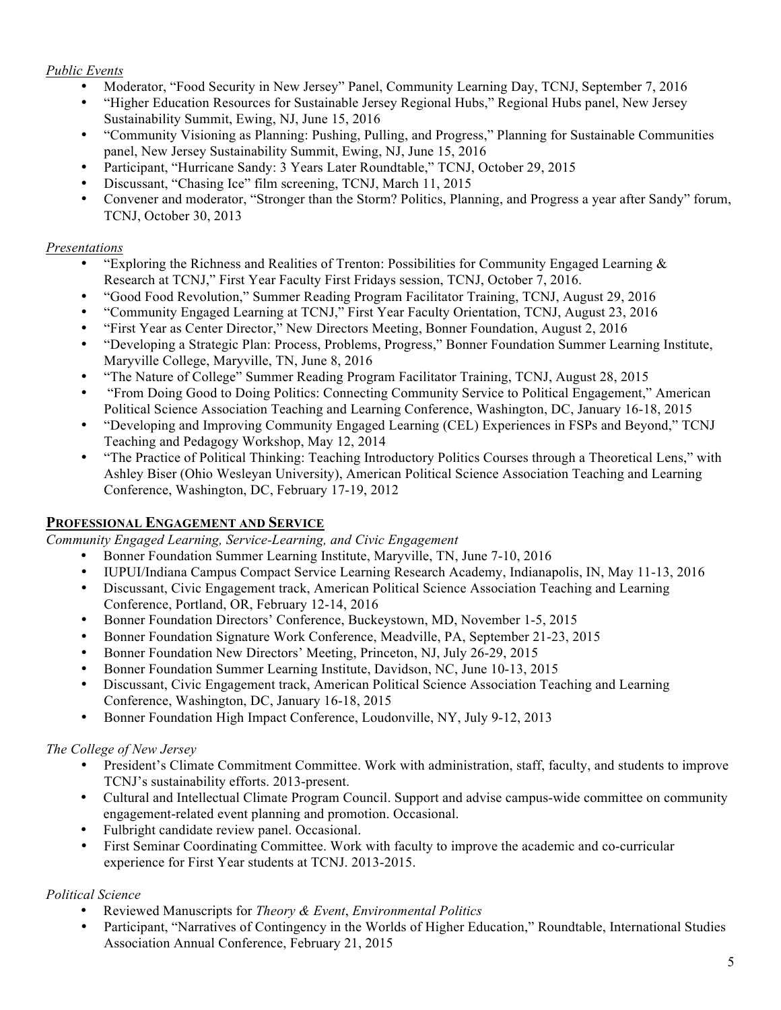## *Public Events*

- Moderator, "Food Security in New Jersey" Panel, Community Learning Day, TCNJ, September 7, 2016
- "Higher Education Resources for Sustainable Jersey Regional Hubs," Regional Hubs panel, New Jersey Sustainability Summit, Ewing, NJ, June 15, 2016
- "Community Visioning as Planning: Pushing, Pulling, and Progress," Planning for Sustainable Communities panel, New Jersey Sustainability Summit, Ewing, NJ, June 15, 2016
- Participant, "Hurricane Sandy: 3 Years Later Roundtable," TCNJ, October 29, 2015
- Discussant, "Chasing Ice" film screening, TCNJ, March 11, 2015
- Convener and moderator, "Stronger than the Storm? Politics, Planning, and Progress a year after Sandy" forum, TCNJ, October 30, 2013

## *Presentations*

- "Exploring the Richness and Realities of Trenton: Possibilities for Community Engaged Learning  $\&$ Research at TCNJ," First Year Faculty First Fridays session, TCNJ, October 7, 2016.
- "Good Food Revolution," Summer Reading Program Facilitator Training, TCNJ, August 29, 2016
- "Community Engaged Learning at TCNJ," First Year Faculty Orientation, TCNJ, August 23, 2016
- "First Year as Center Director," New Directors Meeting, Bonner Foundation, August 2, 2016
- "Developing a Strategic Plan: Process, Problems, Progress," Bonner Foundation Summer Learning Institute, Maryville College, Maryville, TN, June 8, 2016
- "The Nature of College" Summer Reading Program Facilitator Training, TCNJ, August 28, 2015
- "From Doing Good to Doing Politics: Connecting Community Service to Political Engagement," American Political Science Association Teaching and Learning Conference, Washington, DC, January 16-18, 2015
- "Developing and Improving Community Engaged Learning (CEL) Experiences in FSPs and Beyond," TCNJ Teaching and Pedagogy Workshop, May 12, 2014
- "The Practice of Political Thinking: Teaching Introductory Politics Courses through a Theoretical Lens," with Ashley Biser (Ohio Wesleyan University), American Political Science Association Teaching and Learning Conference, Washington, DC, February 17-19, 2012

# **PROFESSIONAL ENGAGEMENT AND SERVICE**

*Community Engaged Learning, Service-Learning, and Civic Engagement*

- Bonner Foundation Summer Learning Institute, Maryville, TN, June 7-10, 2016
- IUPUI/Indiana Campus Compact Service Learning Research Academy, Indianapolis, IN, May 11-13, 2016<br>• Discussant Civic Engagement track American Political Science Association Teaching and Learning
- Discussant, Civic Engagement track, American Political Science Association Teaching and Learning Conference, Portland, OR, February 12-14, 2016
- Bonner Foundation Directors' Conference, Buckeystown, MD, November 1-5, 2015
- Bonner Foundation Signature Work Conference, Meadville, PA, September 21-23, 2015
- Bonner Foundation New Directors' Meeting, Princeton, NJ, July 26-29, 2015
- Bonner Foundation Summer Learning Institute, Davidson, NC, June 10-13, 2015
- Discussant, Civic Engagement track, American Political Science Association Teaching and Learning Conference, Washington, DC, January 16-18, 2015
- Bonner Foundation High Impact Conference, Loudonville, NY, July 9-12, 2013

# *The College of New Jersey*

- President's Climate Commitment Committee. Work with administration, staff, faculty, and students to improve TCNJ's sustainability efforts. 2013-present.
- Cultural and Intellectual Climate Program Council. Support and advise campus-wide committee on community engagement-related event planning and promotion. Occasional.
- Fulbright candidate review panel. Occasional.
- First Seminar Coordinating Committee. Work with faculty to improve the academic and co-curricular experience for First Year students at TCNJ. 2013-2015.

# *Political Science*

- Reviewed Manuscripts for *Theory & Event*, *Environmental Politics*
- Participant, "Narratives of Contingency in the Worlds of Higher Education," Roundtable, International Studies Association Annual Conference, February 21, 2015